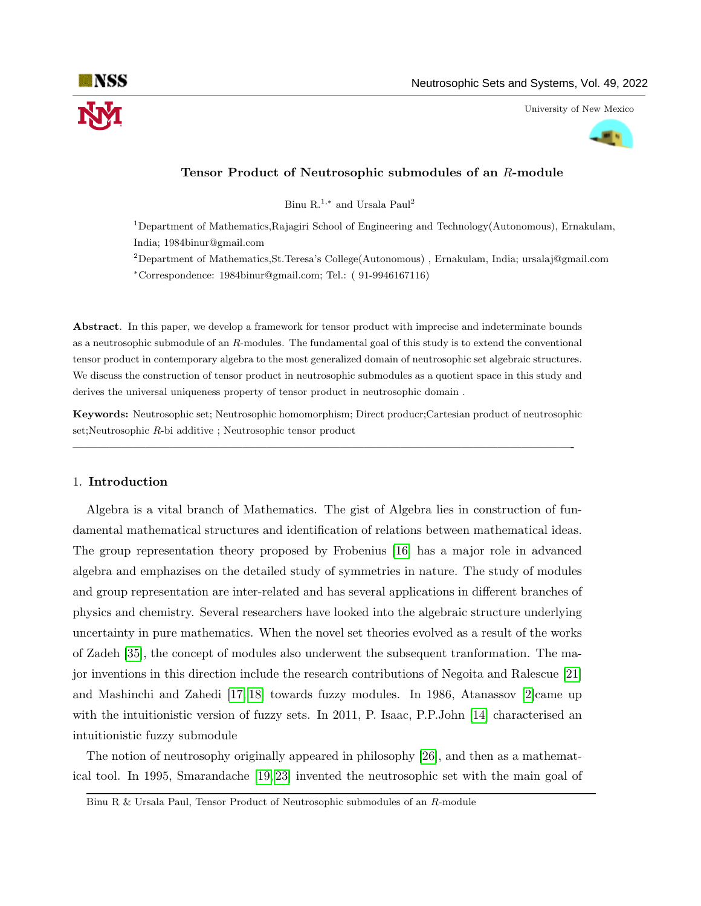

# an s

## Tensor Product of Neutrosophic submodules of an R-module

Binu ${\rm R.}^{1,\ast}$  and Ursala Paul $^2$ 

<sup>1</sup>Department of Mathematics,Rajagiri School of Engineering and Technology(Autonomous), Ernakulam, India; 1984binur@gmail.com

 $2D$ epartment of Mathematics,St.Teresa's College(Autonomous), Ernakulam, India; ursalaj@gmail.com <sup>∗</sup>Correspondence: 1984binur@gmail.com; Tel.: ( 91-9946167116)

Abstract. In this paper, we develop a framework for tensor product with imprecise and indeterminate bounds as a neutrosophic submodule of an R-modules. The fundamental goal of this study is to extend the conventional tensor product in contemporary algebra to the most generalized domain of neutrosophic set algebraic structures. We discuss the construction of tensor product in neutrosophic submodules as a quotient space in this study and derives the universal uniqueness property of tensor product in neutrosophic domain .

Keywords: Neutrosophic set; Neutrosophic homomorphism; Direct producr;Cartesian product of neutrosophic set;Neutrosophic R-bi additive ; Neutrosophic tensor product

—————————————————————————————————————————-

## 1. Introduction

Algebra is a vital branch of Mathematics. The gist of Algebra lies in construction of fundamental mathematical structures and identification of relations between mathematical ideas. The group representation theory proposed by Frobenius [\[16\]](#page-11-0) has a major role in advanced algebra and emphazises on the detailed study of symmetries in nature. The study of modules and group representation are inter-related and has several applications in different branches of physics and chemistry. Several researchers have looked into the algebraic structure underlying uncertainty in pure mathematics. When the novel set theories evolved as a result of the works of Zadeh [\[35\]](#page-12-0), the concept of modules also underwent the subsequent tranformation. The major inventions in this direction include the research contributions of Negoita and Ralescue [\[21\]](#page-11-1) and Mashinchi and Zahedi  $[17, 18]$  $[17, 18]$  towards fuzzy modules. In 1986, Atanassov  $[2]$ came up with the intuitionistic version of fuzzy sets. In 2011, P. Isaac, P.P.John [\[14\]](#page-11-4) characterised an intuitionistic fuzzy submodule

The notion of neutrosophy originally appeared in philosophy [\[26\]](#page-11-5), and then as a mathematical tool. In 1995, Smarandache [\[19,](#page-11-6) [23\]](#page-11-7) invented the neutrosophic set with the main goal of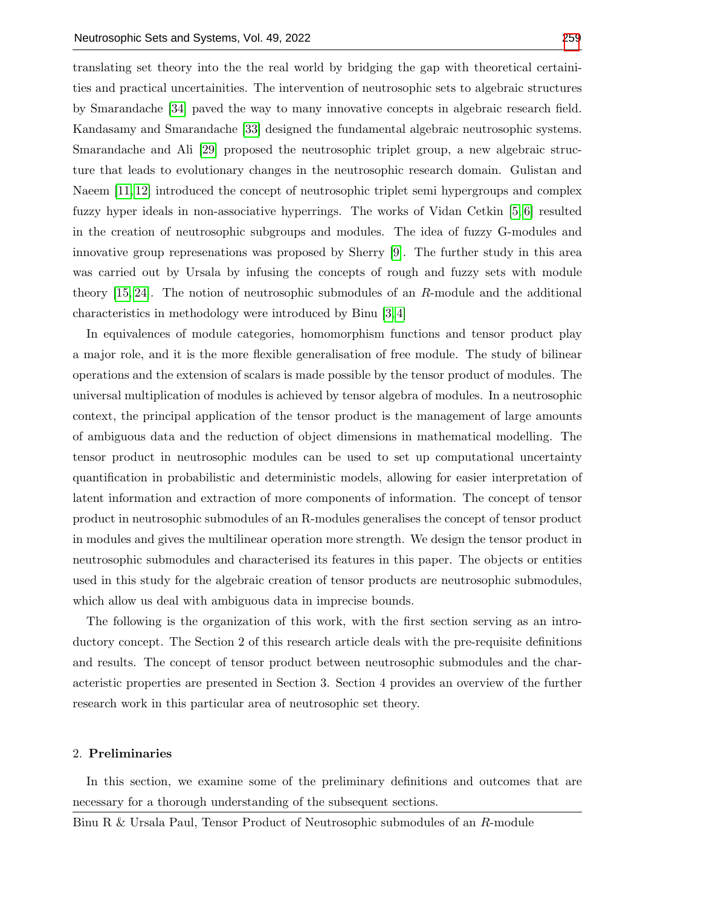translating set theory into the the real world by bridging the gap with theoretical certainities and practical uncertainities. The intervention of neutrosophic sets to algebraic structures by Smarandache [\[34\]](#page-12-2) paved the way to many innovative concepts in algebraic research field. Kandasamy and Smarandache [\[33\]](#page-12-3) designed the fundamental algebraic neutrosophic systems. Smarandache and Ali [\[29\]](#page-11-8) proposed the neutrosophic triplet group, a new algebraic structure that leads to evolutionary changes in the neutrosophic research domain. Gulistan and Naeem [\[11,](#page-11-9) [12\]](#page-11-10) introduced the concept of neutrosophic triplet semi hypergroups and complex fuzzy hyper ideals in non-associative hyperrings. The works of Vidan Cetkin [\[5,](#page-10-1) [6\]](#page-10-2) resulted in the creation of neutrosophic subgroups and modules. The idea of fuzzy G-modules and innovative group represenations was proposed by Sherry [\[9\]](#page-11-11). The further study in this area was carried out by Ursala by infusing the concepts of rough and fuzzy sets with module theory  $[15, 24]$  $[15, 24]$ . The notion of neutrosophic submodules of an R-module and the additional characteristics in methodology were introduced by Binu [\[3,](#page-10-3) [4\]](#page-10-4)

In equivalences of module categories, homomorphism functions and tensor product play a major role, and it is the more flexible generalisation of free module. The study of bilinear operations and the extension of scalars is made possible by the tensor product of modules. The universal multiplication of modules is achieved by tensor algebra of modules. In a neutrosophic context, the principal application of the tensor product is the management of large amounts of ambiguous data and the reduction of object dimensions in mathematical modelling. The tensor product in neutrosophic modules can be used to set up computational uncertainty quantification in probabilistic and deterministic models, allowing for easier interpretation of latent information and extraction of more components of information. The concept of tensor product in neutrosophic submodules of an R-modules generalises the concept of tensor product in modules and gives the multilinear operation more strength. We design the tensor product in neutrosophic submodules and characterised its features in this paper. The objects or entities used in this study for the algebraic creation of tensor products are neutrosophic submodules, which allow us deal with ambiguous data in imprecise bounds.

The following is the organization of this work, with the first section serving as an introductory concept. The Section 2 of this research article deals with the pre-requisite definitions and results. The concept of tensor product between neutrosophic submodules and the characteristic properties are presented in Section 3. Section 4 provides an overview of the further research work in this particular area of neutrosophic set theory.

## 2. Preliminaries

In this section, we examine some of the preliminary definitions and outcomes that are necessary for a thorough understanding of the subsequent sections.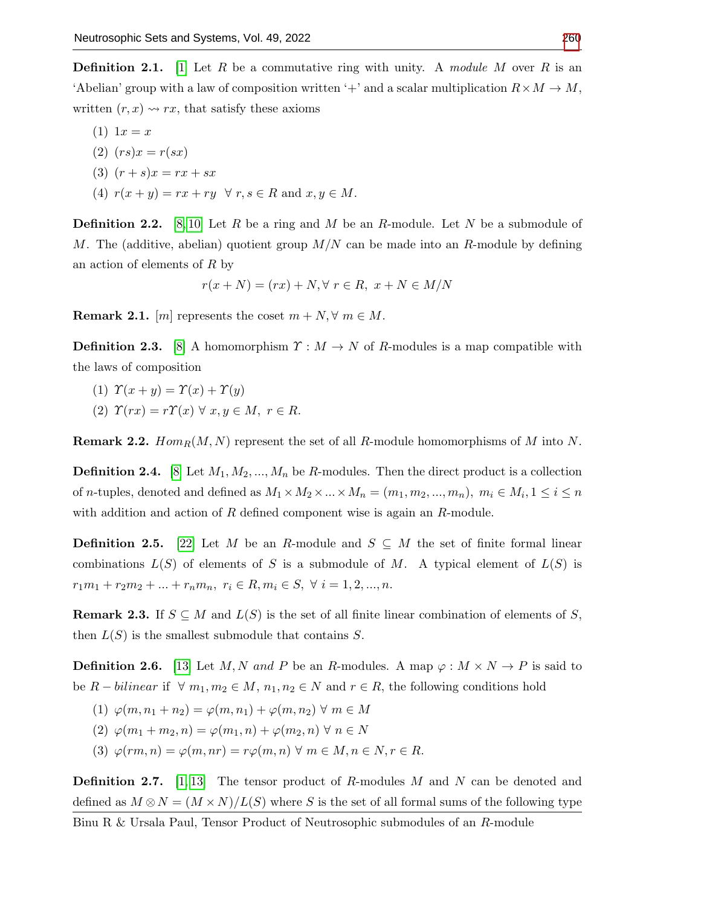**Definition 2.1.** [\[1\]](#page-10-5) Let R be a commutative ring with unity. A module M over R is an 'Abelian' group with a law of composition written '+' and a scalar multiplication  $R \times M \to M$ , written  $(r, x) \rightarrow rx$ , that satisfy these axioms

 $(1) 1x = x$ (2)  $(rs)x = r(sx)$ (3)  $(r + s)x = rx + sx$ (4)  $r(x + y) = rx + ry \quad \forall r, s \in R$  and  $x, y \in M$ .

**Definition 2.2.** [\[8,](#page-11-14) [10\]](#page-11-15) Let R be a ring and M be an R-module. Let N be a submodule of M. The (additive, abelian) quotient group  $M/N$  can be made into an R-module by defining an action of elements of R by

$$
r(x+N) = (rx) + N, \forall r \in R, x+N \in M/N
$$

**Remark 2.1.** [m] represents the coset  $m + N$ ,  $\forall m \in M$ .

**Definition 2.3.** [\[8\]](#page-11-14) A homomorphism  $\Upsilon : M \to N$  of R-modules is a map compatible with the laws of composition

(1)  $\Upsilon(x + y) = \Upsilon(x) + \Upsilon(y)$ (2)  $\Upsilon(rx) = r\Upsilon(x) \ \forall \ x, y \in M, \ r \in R.$ 

**Remark 2.2.**  $Hom_R(M, N)$  represent the set of all R-module homomorphisms of M into N.

**Definition 2.4.** [\[8\]](#page-11-14) Let  $M_1, M_2, ..., M_n$  be R-modules. Then the direct product is a collection of *n*-tuples, denoted and defined as  $M_1 \times M_2 \times ... \times M_n = (m_1, m_2, ..., m_n), m_i \in M_i, 1 \le i \le n$ with addition and action of  $R$  defined component wise is again an  $R$ -module.

**Definition 2.5.** [\[22\]](#page-11-16) Let M be an R-module and  $S \subseteq M$  the set of finite formal linear combinations  $L(S)$  of elements of S is a submodule of M. A typical element of  $L(S)$  is  $r_1m_1 + r_2m_2 + \ldots + r_nm_n, \ r_i \in R, m_i \in S, \ \forall \ i = 1, 2, \ldots, n.$ 

**Remark 2.3.** If  $S \subseteq M$  and  $L(S)$  is the set of all finite linear combination of elements of S, then  $L(S)$  is the smallest submodule that contains S.

**Definition 2.6.** [\[13\]](#page-11-17) Let M, N and P be an R-modules. A map  $\varphi : M \times N \to P$  is said to be  $R - bilinear$  if  $\forall m_1, m_2 \in M$ ,  $n_1, n_2 \in N$  and  $r \in R$ , the following conditions hold

- (1)  $\varphi(m, n_1 + n_2) = \varphi(m, n_1) + \varphi(m, n_2) \ \forall \ m \in M$
- (2)  $\varphi(m_1 + m_2, n) = \varphi(m_1, n) + \varphi(m_2, n) \ \forall \ n \in N$
- (3)  $\varphi(rm, n) = \varphi(m, nr) = r\varphi(m, n) \ \forall \ m \in M, n \in N, r \in R.$

**Definition 2.7.** [\[1,](#page-10-5) [13\]](#page-11-17) The tensor product of R-modules M and N can be denoted and defined as  $M \otimes N = (M \times N)/L(S)$  where S is the set of all formal sums of the following type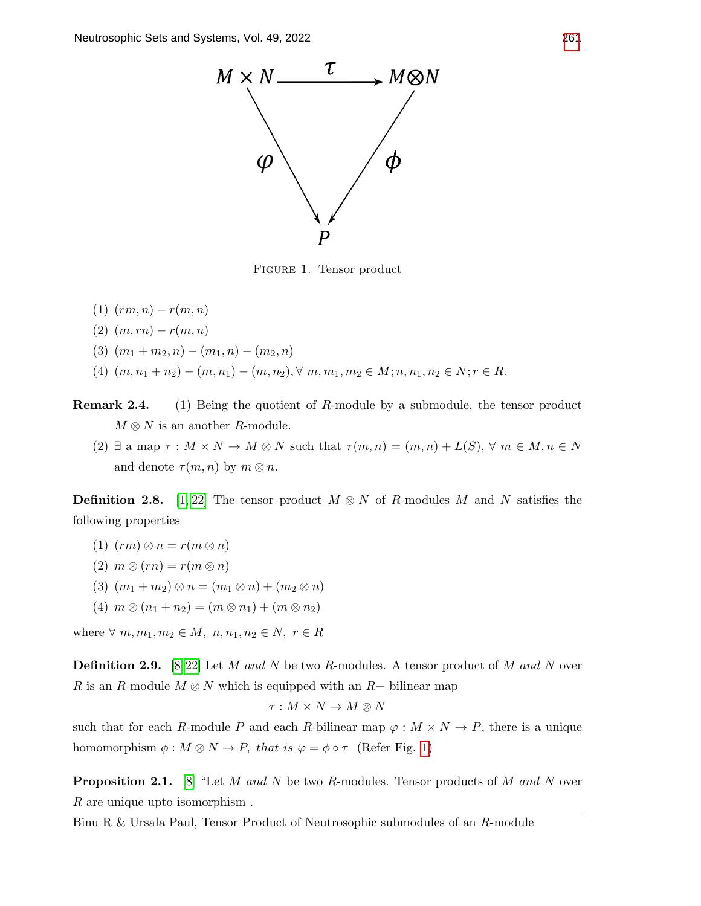<span id="page-3-0"></span>

Figure 1. Tensor product

- (1)  $(rm, n) r(m, n)$
- (2)  $(m, rn) r(m, n)$
- (3)  $(m_1 + m_2, n) (m_1, n) (m_2, n)$
- (4)  $(m, n_1 + n_2) (m, n_1) (m, n_2), \forall m, m_1, m_2 \in M; n, n_1, n_2 \in N; r \in R$ .

**Remark 2.4.** (1) Being the quotient of R-module by a submodule, the tensor product  $M \otimes N$  is an another R-module.

(2)  $\exists$  a map  $\tau : M \times N \to M \otimes N$  such that  $\tau(m,n) = (m,n) + L(S)$ ,  $\forall m \in M, n \in N$ and denote  $\tau(m, n)$  by  $m \otimes n$ .

**Definition 2.8.** [\[1,](#page-10-5) [22\]](#page-11-16) The tensor product  $M \otimes N$  of R-modules M and N satisfies the following properties

- (1)  $(rm) \otimes n = r(m \otimes n)$
- (2)  $m \otimes (rn) = r(m \otimes n)$
- (3)  $(m_1 + m_2) \otimes n = (m_1 \otimes n) + (m_2 \otimes n)$
- (4)  $m \otimes (n_1 + n_2) = (m \otimes n_1) + (m \otimes n_2)$

where  $\forall m, m_1, m_2 \in M, n, n_1, n_2 \in N, r \in R$ 

**Definition 2.9.** [\[8,](#page-11-14) [22\]](#page-11-16) Let M and N be two R-modules. A tensor product of M and N over R is an R-module  $M \otimes N$  which is equipped with an R– bilinear map

$$
\tau:M\times N\to M\otimes N
$$

such that for each R-module P and each R-bilinear map  $\varphi : M \times N \to P$ , there is a unique homomorphism  $\phi : M \otimes N \to P$ , that is  $\varphi = \phi \circ \tau$  (Refer Fig. [1\)](#page-3-0)

**Proposition 2.1.** [\[8\]](#page-11-14) "Let M and N be two R-modules. Tensor products of M and N over R are unique upto isomorphism .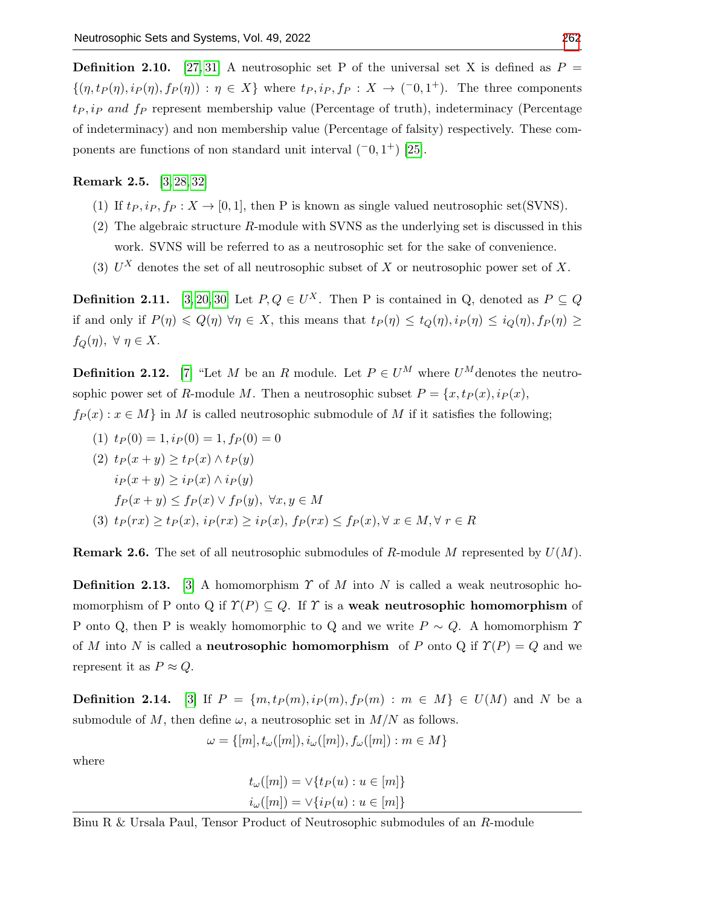**Definition 2.10.** [\[27,](#page-11-18) [31\]](#page-11-19) A neutrosophic set P of the universal set X is defined as  $P =$  $\{(\eta, t_P(\eta), i_P(\eta), f_P(\eta)) : \eta \in X\}$  where  $t_P, i_P, f_P : X \to (-0, 1^+)$ . The three components  $t_P, i_P$  and  $f_P$  represent membership value (Percentage of truth), indeterminacy (Percentage of indeterminacy) and non membership value (Percentage of falsity) respectively. These components are functions of non standard unit interval  $(-0, 1^+)$  [\[25\]](#page-11-20).

## Remark 2.5. [\[3,](#page-10-3) [28,](#page-11-21) [32\]](#page-11-22)

- (1) If  $t_P, i_P, f_P : X \to [0, 1]$ , then P is known as single valued neutrosophic set(SVNS).
- (2) The algebraic structure R-module with SVNS as the underlying set is discussed in this work. SVNS will be referred to as a neutrosophic set for the sake of convenience.
- (3)  $U^X$  denotes the set of all neutrosophic subset of X or neutrosophic power set of X.

**Definition 2.11.** [\[3,](#page-10-3) [20,](#page-11-23) [30\]](#page-11-24) Let  $P, Q \in U^X$ . Then P is contained in Q, denoted as  $P \subseteq Q$ if and only if  $P(\eta) \leq Q(\eta)$   $\forall \eta \in X$ , this means that  $t_P(\eta) \leq t_Q(\eta)$ ,  $i_P(\eta) \leq i_Q(\eta)$ ,  $f_P(\eta) \geq$  $f_Q(\eta)$ ,  $\forall \eta \in X$ .

**Definition 2.12.** [\[7\]](#page-10-6) "Let M be an R module. Let  $P \in U^M$  where  $U^M$  denotes the neutrosophic power set of R-module M. Then a neutrosophic subset  $P = \{x, tp(x), ip(x),\}$ 

- $f_P(x) : x \in M$  in M is called neutrosophic submodule of M if it satisfies the following;
	- (1)  $t_P(0) = 1$ ,  $i_P(0) = 1$ ,  $f_P(0) = 0$

(2) 
$$
t_P(x + y) \ge t_P(x) \land t_P(y)
$$

$$
i_P(x + y) \ge i_P(x) \land i_P(y)
$$

$$
f_P(x + y) \le f_P(x) \lor f_P(y), \forall x, y \in M
$$

$$
(3) 
$$
t_P(rx) \ge t_P(x), i_P(rx) \ge i_P(x), f_P(rx) \le f_P(x), \forall x \in M, \forall r \in R
$$
$$

**Remark 2.6.** The set of all neutrosophic submodules of R-module M represented by  $U(M)$ .

**Definition 2.13.** [\[3\]](#page-10-3) A homomorphism  $\Upsilon$  of M into N is called a weak neutrosophic homomorphism of P onto Q if  $\Upsilon(P) \subseteq Q$ . If  $\Upsilon$  is a weak neutrosophic homomorphism of P onto Q, then P is weakly homomorphic to Q and we write  $P \sim Q$ . A homomorphism  $\gamma$ of M into N is called a **neutrosophic homomorphism** of P onto Q if  $\Upsilon(P) = Q$  and we represent it as  $P \approx Q$ .

**Definition 2.14.** [\[3\]](#page-10-3) If  $P = \{m, tp(m), ip(m), fp(m) : m \in M\} \in U(M)$  and N be a submodule of M, then define  $\omega$ , a neutrosophic set in  $M/N$  as follows.

$$
\omega = \{ [m], t_\omega([m]), i_\omega([m]), f_\omega([m]) : m \in M \}
$$

where

$$
t_{\omega}([m]) = \vee \{ t_P(u) : u \in [m] \}
$$
  

$$
i_{\omega}([m]) = \vee \{ i_P(u) : u \in [m] \}
$$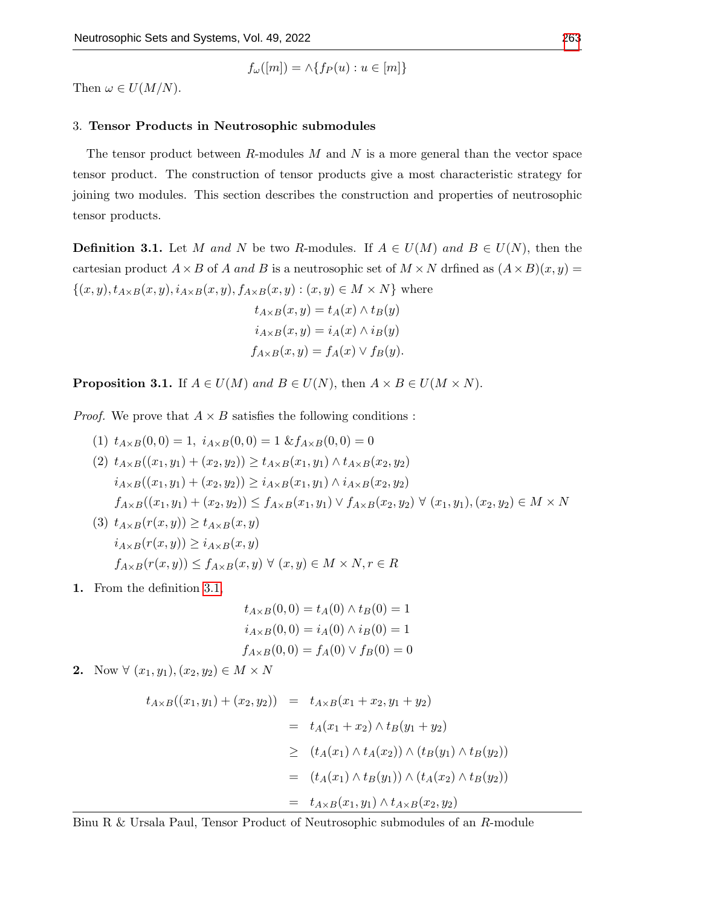$$
f_{\omega}([m]) = \wedge \{ f_P(u) : u \in [m] \}
$$

Then  $\omega \in U(M/N)$ .

## 3. Tensor Products in Neutrosophic submodules

The tensor product between  $R$ -modules  $M$  and  $N$  is a more general than the vector space tensor product. The construction of tensor products give a most characteristic strategy for joining two modules. This section describes the construction and properties of neutrosophic tensor products.

<span id="page-5-0"></span>**Definition 3.1.** Let M and N be two R-modules. If  $A \in U(M)$  and  $B \in U(N)$ , then the cartesian product  $A \times B$  of A and B is a neutrosophic set of  $M \times N$  driined as  $(A \times B)(x, y) =$  $\{(x, y), t_{A\times B}(x, y), i_{A\times B}(x, y), f_{A\times B}(x, y) : (x, y) \in M \times N\}$  where

$$
t_{A \times B}(x, y) = t_A(x) \wedge t_B(y)
$$
  
\n
$$
i_{A \times B}(x, y) = i_A(x) \wedge i_B(y)
$$
  
\n
$$
f_{A \times B}(x, y) = f_A(x) \vee f_B(y).
$$

**Proposition 3.1.** If  $A \in U(M)$  and  $B \in U(N)$ , then  $A \times B \in U(M \times N)$ .

*Proof.* We prove that  $A \times B$  satisfies the following conditions:

- (1)  $t_{A\times B}(0,0) = 1$ ,  $i_{A\times B}(0,0) = 1$   $\& f_{A\times B}(0,0) = 0$ (2)  $t_{A\times B}((x_1,y_1)+(x_2,y_2))\geq t_{A\times B}(x_1,y_1)\wedge t_{A\times B}(x_2,y_2)$  $i_{A\times B}((x_1,y_1) + (x_2,y_2)) \geq i_{A\times B}(x_1,y_1) \wedge i_{A\times B}(x_2,y_2)$  $f_{A\times B}((x_1,y_1)+(x_2,y_2))\leq f_{A\times B}(x_1,y_1)\vee f_{A\times B}(x_2,y_2)\,\forall\,(x_1,y_1),(x_2,y_2)\in M\times N$ (3)  $t_{A\times B}(r(x,y)) \geq t_{A\times B}(x,y)$  $i_{A\times B}(r(x,y)) \geq i_{A\times B}(x,y)$  $f_{A\times B}(r(x,y)) \le f_{A\times B}(x,y) \ \forall \ (x,y) \in M \times N, r \in R$
- 1. From the definition [3.1,](#page-5-0)

$$
t_{A \times B}(0,0) = t_A(0) \wedge t_B(0) = 1
$$
  

$$
i_{A \times B}(0,0) = i_A(0) \wedge i_B(0) = 1
$$
  

$$
f_{A \times B}(0,0) = f_A(0) \vee f_B(0) = 0
$$

2. Now  $\forall (x_1, y_1), (x_2, y_2) \in M \times N$ 

$$
t_{A \times B}((x_1, y_1) + (x_2, y_2)) = t_{A \times B}(x_1 + x_2, y_1 + y_2)
$$
  
=  $t_A(x_1 + x_2) \wedge t_B(y_1 + y_2)$   
 $\geq (t_A(x_1) \wedge t_A(x_2)) \wedge (t_B(y_1) \wedge t_B(y_2))$   
=  $(t_A(x_1) \wedge t_B(y_1)) \wedge (t_A(x_2) \wedge t_B(y_2))$   
=  $t_{A \times B}(x_1, y_1) \wedge t_{A \times B}(x_2, y_2)$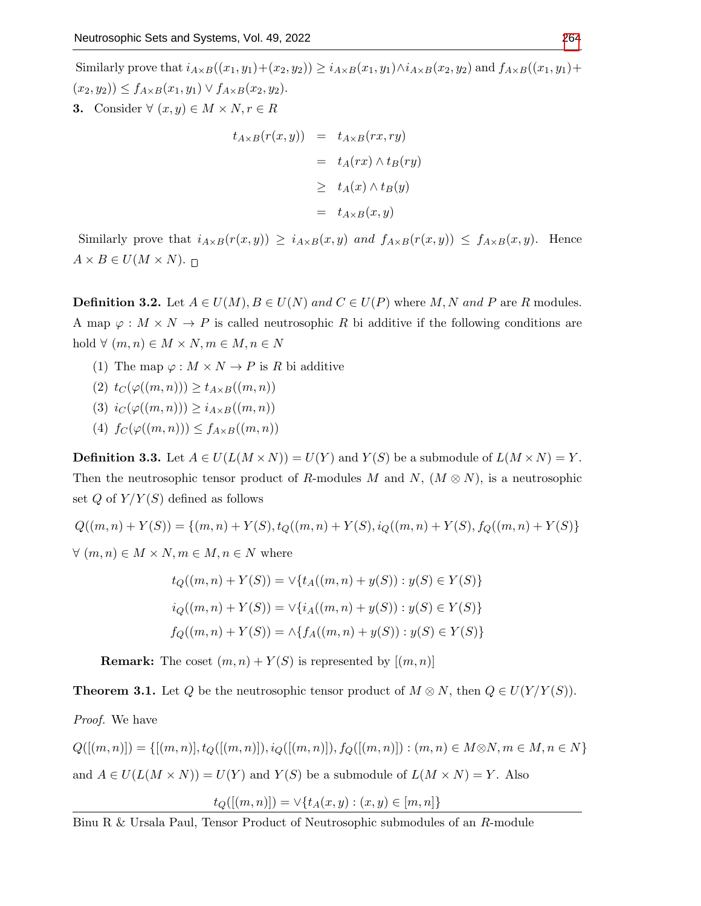Similarly prove that  $i_{A\times B}((x_1,y_1)+(x_2,y_2)) \geq i_{A\times B}(x_1,y_1) \wedge i_{A\times B}(x_2,y_2)$  and  $f_{A\times B}((x_1,y_1)+$  $(x_2, y_2)$ )  $\leq f_{A \times B}(x_1, y_1) \vee f_{A \times B}(x_2, y_2)$ . 3. Consider  $\forall (x, y) \in M \times N, r \in R$ 

$$
t_{A \times B}(r(x, y)) = t_{A \times B}(rx, ry)
$$
  
=  $t_A(rx) \wedge t_B(ry)$   

$$
\geq t_A(x) \wedge t_B(y)
$$
  
=  $t_{A \times B}(x, y)$ 

Similarly prove that  $i_{A\times B}(r(x,y)) \geq i_{A\times B}(x,y)$  and  $f_{A\times B}(r(x,y)) \leq f_{A\times B}(x,y)$ . Hence  $A \times B \in U(M \times N)$ .

**Definition 3.2.** Let  $A \in U(M)$ ,  $B \in U(N)$  and  $C \in U(P)$  where M, N and P are R modules. A map  $\varphi : M \times N \to P$  is called neutrosophic R bi additive if the following conditions are hold  $\forall (m, n) \in M \times N, m \in M, n \in N$ 

- (1) The map  $\varphi: M \times N \to P$  is R bi additive
- (2)  $t_C(\varphi((m, n))) \geq t_{A \times B}((m, n))$
- (3)  $i_C(\varphi((m, n))) \geq i_{A \times B}((m, n))$
- (4)  $f_C(\varphi((m, n))) \leq f_{A \times B}((m, n))$

**Definition 3.3.** Let  $A \in U(L(M \times N)) = U(Y)$  and  $Y(S)$  be a submodule of  $L(M \times N) = Y$ . Then the neutrosophic tensor product of R-modules M and N,  $(M \otimes N)$ , is a neutrosophic set  $Q$  of  $Y/Y(S)$  defined as follows

 $Q((m, n) + Y(S)) = \{(m, n) + Y(S), t_O((m, n) + Y(S), i_O((m, n) + Y(S), f_O((m, n) + Y(S))\})$  $\forall (m, n) \in M \times N, m \in M, n \in N$  where

$$
t_Q((m, n) + Y(S)) = \vee \{ t_A((m, n) + y(S)) : y(S) \in Y(S) \}
$$
  

$$
i_Q((m, n) + Y(S)) = \vee \{ i_A((m, n) + y(S)) : y(S) \in Y(S) \}
$$
  

$$
f_Q((m, n) + Y(S)) = \wedge \{ f_A((m, n) + y(S)) : y(S) \in Y(S) \}
$$

**Remark:** The coset  $(m, n) + Y(S)$  is represented by  $[(m, n)]$ 

**Theorem 3.1.** Let Q be the neutrosophic tensor product of  $M \otimes N$ , then  $Q \in U(Y/Y(S))$ .

Proof. We have

 $Q([(m, n)]) = \{[(m, n)], t_Q([(m, n)]), i_Q([(m, n)]), f_Q([(m, n)]) : (m, n) \in M \otimes N, m \in M, n \in N\}$ and  $A \in U(L(M \times N)) = U(Y)$  and  $Y(S)$  be a submodule of  $L(M \times N) = Y$ . Also

$$
t_Q([(m,n)]) = \vee \{t_A(x,y) : (x,y) \in [m,n]\}
$$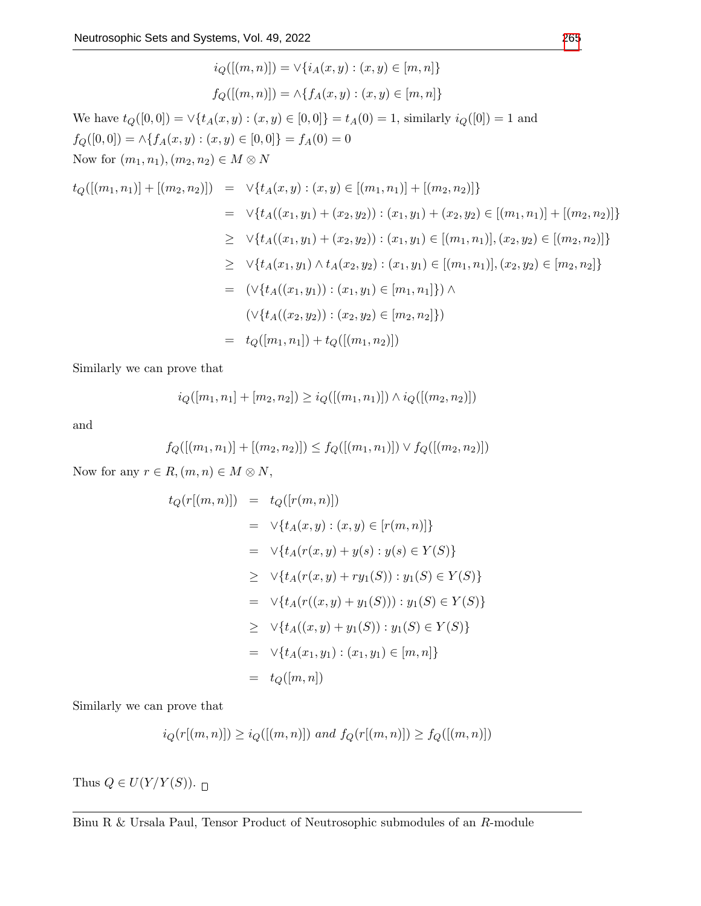$$
i_Q([(m,n)]) = \vee \{i_A(x,y) : (x,y) \in [m,n]\}
$$
  
\n
$$
f_Q([(m,n)]) = \wedge \{f_A(x,y) : (x,y) \in [m,n]\}
$$
  
\nWe have  $t_Q([0,0]) = \vee \{t_A(x,y) : (x,y) \in [0,0]\} = t_A(0) = 1$ , similarly  $i_Q([0]) = 1$  and  
\n $f_Q([0,0]) = \wedge \{f_A(x,y) : (x,y) \in [0,0]\} = f_A(0) = 0$   
\nNow for  $(m_1, n_1), (m_2, n_2) \in M \otimes N$   
\n $t_Q([(m_1, n_1)] + [(m_2, n_2)]) = \vee \{t_A(x,y) : (x,y) \in [(m_1, n_1)] + [(m_2, n_2)]\}$   
\n
$$
= \vee \{t_A((x_1, y_1) + (x_2, y_2)) : (x_1, y_1) + (x_2, y_2) \in [(m_1, n_1)], (x_2, y_2) \in [(m_2, n_2)]\}
$$
  
\n
$$
\geq \vee \{t_A((x_1, y_1) \wedge t_A(x_2, y_2) : (x_1, y_1) \in [(m_1, n_1)], (x_2, y_2) \in [m_2, n_2]\}
$$
  
\n
$$
= (\vee \{t_A((x_1, y_1)) : (x_1, y_1) \in [m_1, n_1]\}) \wedge
$$
  
\n
$$
(\vee \{t_A((x_2, y_2)) : (x_2, y_2) \in [m_2, n_2]\})
$$
  
\n
$$
= t_Q([m_1, n_1]) + t_Q([(m_1, n_2)])
$$

Similarly we can prove that

$$
i_Q([m_1, n_1] + [m_2, n_2]) \geq i_Q([(m_1, n_1)]) \wedge i_Q([(m_2, n_2)])
$$

and

$$
f_Q([[m_1, n_1)] + [(m_2, n_2)]) \le f_Q([[m_1, n_1)]) \vee f_Q([[m_2, n_2)])
$$

Now for any  $r \in R$ ,  $(m, n) \in M \otimes N$ ,

$$
t_Q(r[(m, n)]) = t_Q([r(m, n)])
$$
  
\n
$$
= \vee \{t_A(x, y) : (x, y) \in [r(m, n)]\}
$$
  
\n
$$
= \vee \{t_A(r(x, y) + y(s) : y(s) \in Y(S)\}
$$
  
\n
$$
\geq \vee \{t_A(r(x, y) + ry_1(S)) : y_1(S) \in Y(S)\}
$$
  
\n
$$
= \vee \{t_A(r((x, y) + y_1(S))) : y_1(S) \in Y(S)\}
$$
  
\n
$$
\geq \vee \{t_A((x, y) + y_1(S)) : y_1(S) \in Y(S)\}
$$
  
\n
$$
= \vee \{t_A(x_1, y_1) : (x_1, y_1) \in [m, n]\}
$$
  
\n
$$
= t_Q([m, n])
$$

Similarly we can prove that

$$
i_Q(r[(m, n)]) \geq i_Q([(m, n)])
$$
 and  $f_Q(r[(m, n)]) \geq f_Q([(m, n)])$ 

Thus  $Q \in U(Y/Y(S))$ .  $\Box$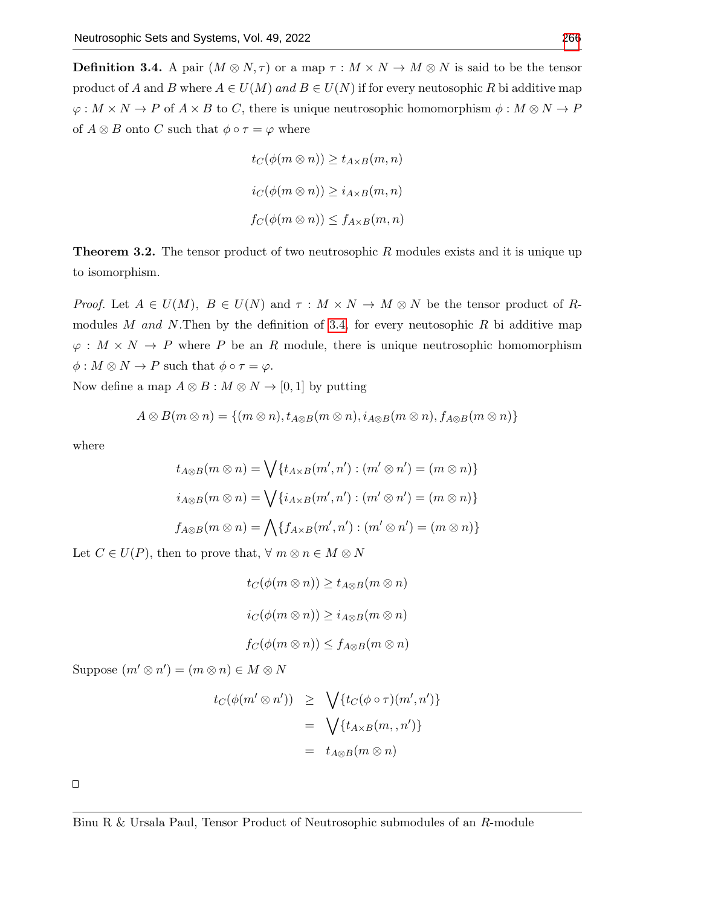<span id="page-8-0"></span>**Definition 3.4.** A pair  $(M \otimes N, \tau)$  or a map  $\tau : M \times N \to M \otimes N$  is said to be the tensor product of A and B where  $A \in U(M)$  and  $B \in U(N)$  if for every neutosophic R bi additive map  $\varphi: M \times N \to P$  of  $A \times B$  to C, there is unique neutrosophic homomorphism  $\phi: M \otimes N \to P$ of  $A \otimes B$  onto C such that  $\phi \circ \tau = \varphi$  where

$$
t_C(\phi(m \otimes n)) \ge t_{A \times B}(m, n)
$$
  

$$
i_C(\phi(m \otimes n)) \ge i_{A \times B}(m, n)
$$
  

$$
f_C(\phi(m \otimes n)) \le f_{A \times B}(m, n)
$$

**Theorem 3.2.** The tensor product of two neutrosophic  $R$  modules exists and it is unique up to isomorphism.

Proof. Let  $A \in U(M)$ ,  $B \in U(N)$  and  $\tau : M \times N \to M \otimes N$  be the tensor product of R-modules M and N.Then by the definition of [3.4,](#page-8-0) for every neutosophic R bi additive map  $\varphi: M \times N \to P$  where P be an R module, there is unique neutrosophic homomorphism  $\phi: M \otimes N \to P$  such that  $\phi \circ \tau = \varphi$ .

Now define a map  $A \otimes B : M \otimes N \to [0,1]$  by putting

$$
A\otimes B(m\otimes n)=\{(m\otimes n),t_{A\otimes B}(m\otimes n),i_{A\otimes B}(m\otimes n),f_{A\otimes B}(m\otimes n)\}
$$

where

$$
t_{A\otimes B}(m\otimes n) = \bigvee \{t_{A\times B}(m',n') : (m'\otimes n') = (m\otimes n)\}
$$
  

$$
i_{A\otimes B}(m\otimes n) = \bigvee \{i_{A\times B}(m',n') : (m'\otimes n') = (m\otimes n)\}
$$
  

$$
f_{A\otimes B}(m\otimes n) = \bigwedge \{f_{A\times B}(m',n') : (m'\otimes n') = (m\otimes n)\}
$$

Let  $C \in U(P)$ , then to prove that,  $\forall m \otimes n \in M \otimes N$ 

$$
t_C(\phi(m \otimes n)) \ge t_{A \otimes B}(m \otimes n)
$$
  

$$
i_C(\phi(m \otimes n)) \ge i_{A \otimes B}(m \otimes n)
$$
  

$$
f_C(\phi(m \otimes n)) \le f_{A \otimes B}(m \otimes n)
$$

Suppose  $(m' \otimes n') = (m \otimes n) \in M \otimes N$ 

$$
t_C(\phi(m' \otimes n')) \geq \sqrt{\{t_C(\phi \circ \tau)(m', n')\}}
$$
  
= 
$$
\sqrt{\{t_{A \times B}(m, n')\}}
$$
  
= 
$$
t_{A \otimes B}(m \otimes n)
$$

 $\Box$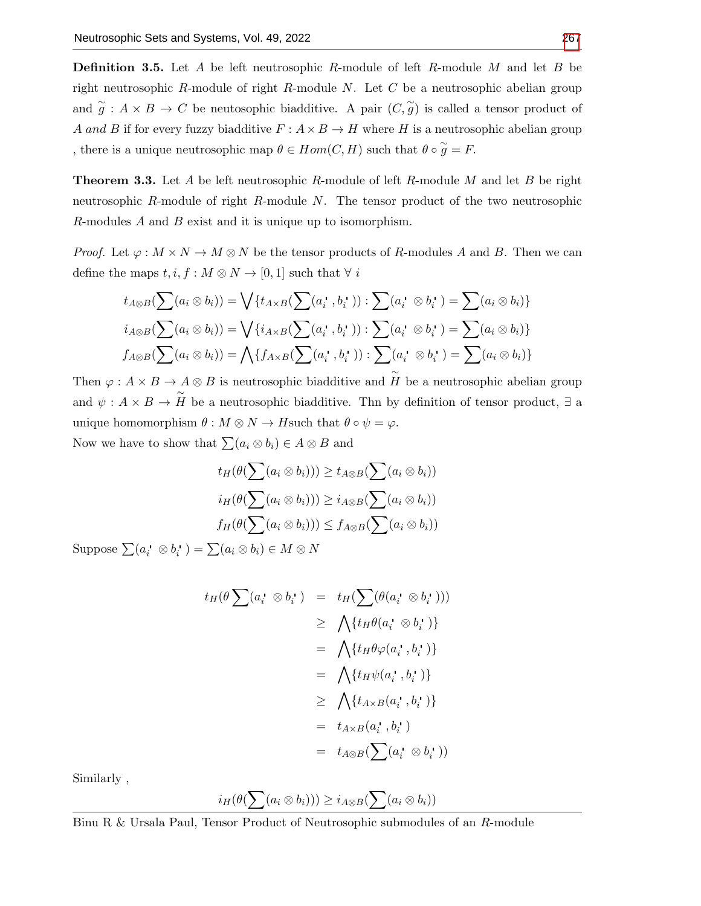**Definition 3.5.** Let A be left neutrosophic R-module of left R-module M and let B be right neutrosophic R-module of right R-module  $N$ . Let  $C$  be a neutrosophic abelian group and  $\tilde{g}: A \times B \to C$  be neutosophic biadditive. A pair  $(C, \tilde{g})$  is called a tensor product of A and B if for every fuzzy biadditive  $F : A \times B \to H$  where H is a neutrosophic abelian group , there is a unique neutrosophic map  $\theta \in Hom(C, H)$  such that  $\theta \circ \widetilde{g} = F$ .

**Theorem 3.3.** Let A be left neutrosophic R-module of left R-module M and let B be right neutrosophic R-module of right R-module N. The tensor product of the two neutrosophic R-modules A and B exist and it is unique up to isomorphism.

*Proof.* Let  $\varphi : M \times N \to M \otimes N$  be the tensor products of R-modules A and B. Then we can define the maps  $t, i, f : M \otimes N \to [0, 1]$  such that  $\forall i$ 

$$
t_{A\otimes B}(\sum(a_i \otimes b_i)) = \bigvee \{t_{A\times B}(\sum(a_i^*, b_i^*)) : \sum(a_i^* \otimes b_i^*) = \sum(a_i \otimes b_i)\}
$$
  

$$
i_{A\otimes B}(\sum(a_i \otimes b_i)) = \bigvee \{i_{A\times B}(\sum(a_i^*, b_i^*)) : \sum(a_i^* \otimes b_i^*) = \sum(a_i \otimes b_i)\}
$$
  

$$
f_{A\otimes B}(\sum(a_i \otimes b_i)) = \bigwedge \{f_{A\times B}(\sum(a_i^*, b_i^*)) : \sum(a_i^* \otimes b_i^*) = \sum(a_i \otimes b_i)\}
$$

Then  $\varphi: A \times B \to A \otimes B$  is neutrosophic biadditive and  $\tilde{H}$  be a neutrosophic abelian group and  $\psi: A \times B \to \tilde{H}$  be a neutrosophic biadditive. The by definition of tensor product,  $\exists$  a unique homomorphism  $\theta : M \otimes N \to H$  such that  $\theta \circ \psi = \varphi$ . Now we have to show that  $\sum (a_i \otimes b_i) \in A \otimes B$  and

$$
t_H(\theta(\sum(a_i \otimes b_i))) \ge t_{A \otimes B}(\sum(a_i \otimes b_i))
$$
  

$$
i_H(\theta(\sum(a_i \otimes b_i))) \ge i_{A \otimes B}(\sum(a_i \otimes b_i))
$$
  

$$
f_H(\theta(\sum(a_i \otimes b_i))) \le f_{A \otimes B}(\sum(a_i \otimes b_i))
$$

Suppose  $\sum (a_i \otimes b_i) = \sum (a_i \otimes b_i) \in M \otimes N$ 

$$
t_H(\theta \sum (a_i \otimes b_i \otimes ) = t_H(\sum (\theta (a_i \otimes b_i \otimes ))
$$
  
\n
$$
\geq \bigwedge \{t_H \theta (a_i \otimes b_i \otimes )\}
$$
  
\n
$$
= \bigwedge \{t_H \theta \varphi (a_i \otimes b_i \otimes )\}
$$
  
\n
$$
= \bigwedge \{t_H \psi (a_i \otimes b_i \otimes )\}
$$
  
\n
$$
\geq \bigwedge \{t_{A \times B}(a_i \otimes b_i \otimes )\}
$$
  
\n
$$
= t_{A \otimes B}(\sum (a_i \otimes b_i \otimes )
$$

Similarly ,

$$
i_H(\theta(\sum(a_i \otimes b_i))) \geq i_{A \otimes B}(\sum(a_i \otimes b_i))
$$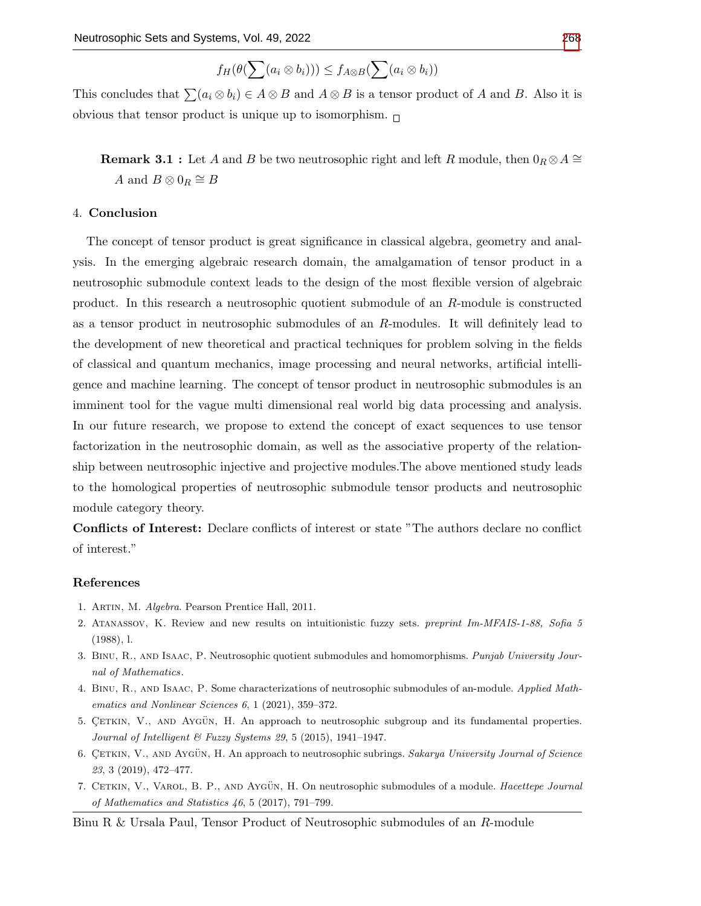$$
f_H(\theta(\sum(a_i \otimes b_i))) \leq f_{A \otimes B}(\sum(a_i \otimes b_i))
$$

This concludes that  $\sum (a_i \otimes b_i) \in A \otimes B$  and  $A \otimes B$  is a tensor product of A and B. Also it is obvious that tensor product is unique up to isomorphism.  $\Box$ 

**Remark 3.1 :** Let A and B be two neutrosophic right and left R module, then  $0_R \otimes A \cong$ A and  $B \otimes 0_R \cong B$ 

## 4. Conclusion

The concept of tensor product is great significance in classical algebra, geometry and analysis. In the emerging algebraic research domain, the amalgamation of tensor product in a neutrosophic submodule context leads to the design of the most flexible version of algebraic product. In this research a neutrosophic quotient submodule of an R-module is constructed as a tensor product in neutrosophic submodules of an R-modules. It will definitely lead to the development of new theoretical and practical techniques for problem solving in the fields of classical and quantum mechanics, image processing and neural networks, artificial intelligence and machine learning. The concept of tensor product in neutrosophic submodules is an imminent tool for the vague multi dimensional real world big data processing and analysis. In our future research, we propose to extend the concept of exact sequences to use tensor factorization in the neutrosophic domain, as well as the associative property of the relationship between neutrosophic injective and projective modules.The above mentioned study leads to the homological properties of neutrosophic submodule tensor products and neutrosophic module category theory.

Conflicts of Interest: Declare conflicts of interest or state "The authors declare no conflict of interest."

#### References

- <span id="page-10-5"></span>1. Artin, M. Algebra. Pearson Prentice Hall, 2011.
- <span id="page-10-0"></span>2. Atanassov, K. Review and new results on intuitionistic fuzzy sets. preprint Im-MFAIS-1-88, Sofia 5 (1988), l.
- <span id="page-10-3"></span>3. Binu, R., and Isaac, P. Neutrosophic quotient submodules and homomorphisms. Punjab University Journal of Mathematics.
- <span id="page-10-4"></span>4. Binu, R., and Isaac, P. Some characterizations of neutrosophic submodules of an-module. Applied Mathematics and Nonlinear Sciences 6, 1 (2021), 359–372.
- <span id="page-10-1"></span>5. CETKIN, V., AND AYGÜN, H. An approach to neutrosophic subgroup and its fundamental properties. Journal of Intelligent & Fuzzy Systems 29, 5 (2015), 1941–1947.
- <span id="page-10-2"></span>6. CETKIN, V., AND AYGÜN, H. An approach to neutrosophic subrings. Sakarya University Journal of Science 23, 3 (2019), 472–477.
- <span id="page-10-6"></span>7. CETKIN, V., VAROL, B. P., AND AYGÜN, H. On neutrosophic submodules of a module. Hacettepe Journal of Mathematics and Statistics 46, 5 (2017), 791–799.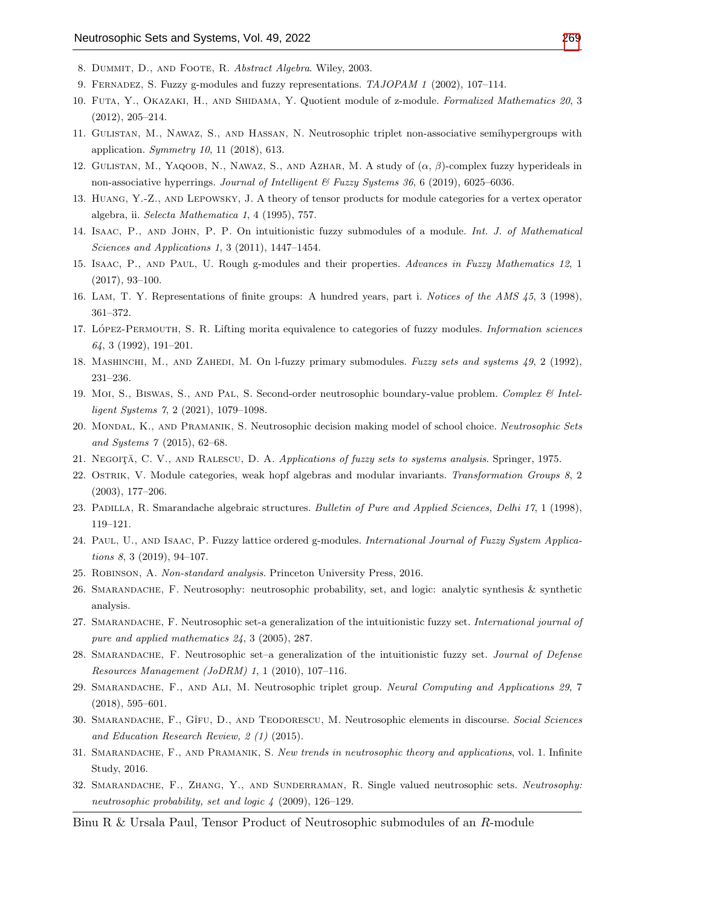- <span id="page-11-14"></span>8. Dummit, D., and Foote, R. Abstract Algebra. Wiley, 2003.
- <span id="page-11-11"></span>9. Fernadez, S. Fuzzy g-modules and fuzzy representations. TAJOPAM 1 (2002), 107–114.
- <span id="page-11-15"></span>10. FUTA, Y., OKAZAKI, H., AND SHIDAMA, Y. Quotient module of z-module. Formalized Mathematics 20, 3 (2012), 205–214.
- <span id="page-11-9"></span>11. Gulistan, M., Nawaz, S., and Hassan, N. Neutrosophic triplet non-associative semihypergroups with application. Symmetry 10, 11 (2018), 613.
- <span id="page-11-10"></span>12. GULISTAN, M., YAQOOB, N., NAWAZ, S., AND AZHAR, M. A study of  $(\alpha, \beta)$ -complex fuzzy hyperideals in non-associative hyperrings. Journal of Intelligent & Fuzzy Systems 36, 6 (2019), 6025–6036.
- <span id="page-11-17"></span>13. Huang, Y.-Z., and Lepowsky, J. A theory of tensor products for module categories for a vertex operator algebra, ii. Selecta Mathematica 1, 4 (1995), 757.
- <span id="page-11-4"></span>14. Isaac, P., and John, P. P. On intuitionistic fuzzy submodules of a module. Int. J. of Mathematical Sciences and Applications 1, 3 (2011), 1447–1454.
- <span id="page-11-12"></span>15. Isaac, P., and Paul, U. Rough g-modules and their properties. Advances in Fuzzy Mathematics 12, 1 (2017), 93–100.
- <span id="page-11-0"></span>16. Lam, T. Y. Representations of finite groups: A hundred years, part i. Notices of the AMS 45, 3 (1998), 361–372.
- <span id="page-11-2"></span>17. LÓPEZ-PERMOUTH, S. R. Lifting morita equivalence to categories of fuzzy modules. Information sciences 64, 3 (1992), 191–201.
- <span id="page-11-3"></span>18. Mashinchi, M., and Zahedi, M. On l-fuzzy primary submodules. Fuzzy sets and systems 49, 2 (1992), 231–236.
- <span id="page-11-6"></span>19. Moi, S., Biswas, S., AND PAL, S. Second-order neutrosophic boundary-value problem. Complex & Intelligent Systems 7, 2 (2021), 1079–1098.
- <span id="page-11-23"></span>20. MONDAL, K., AND PRAMANIK, S. Neutrosophic decision making model of school choice. Neutrosophic Sets and Systems 7 (2015), 62–68.
- <span id="page-11-1"></span>21. NEGOITĂ, C. V., AND RALESCU, D. A. Applications of fuzzy sets to systems analysis. Springer, 1975.
- <span id="page-11-16"></span>22. OSTRIK, V. Module categories, weak hopf algebras and modular invariants. Transformation Groups 8, 2 (2003), 177–206.
- <span id="page-11-7"></span>23. Padilla, R. Smarandache algebraic structures. Bulletin of Pure and Applied Sciences, Delhi 17, 1 (1998), 119–121.
- <span id="page-11-13"></span>24. PAUL, U., AND ISAAC, P. Fuzzy lattice ordered g-modules. International Journal of Fuzzy System Applications 8, 3 (2019), 94–107.
- <span id="page-11-20"></span>25. Robinson, A. Non-standard analysis. Princeton University Press, 2016.
- <span id="page-11-5"></span>26. Smarandache, F. Neutrosophy: neutrosophic probability, set, and logic: analytic synthesis & synthetic analysis.
- <span id="page-11-18"></span>27. SMARANDACHE, F. Neutrosophic set-a generalization of the intuitionistic fuzzy set. International journal of pure and applied mathematics 24, 3 (2005), 287.
- <span id="page-11-21"></span>28. SMARANDACHE, F. Neutrosophic set–a generalization of the intuitionistic fuzzy set. Journal of Defense Resources Management (JoDRM) 1, 1 (2010), 107–116.
- <span id="page-11-8"></span>29. SMARANDACHE, F., AND ALI, M. Neutrosophic triplet group. Neural Computing and Applications 29, 7 (2018), 595–601.
- <span id="page-11-24"></span>30. SMARANDACHE, F., GÎFU, D., AND TEODORESCU, M. Neutrosophic elements in discourse. Social Sciences and Education Research Review, 2 (1) (2015).
- <span id="page-11-19"></span>31. SMARANDACHE, F., AND PRAMANIK, S. New trends in neutrosophic theory and applications, vol. 1. Infinite Study, 2016.
- <span id="page-11-22"></span>32. SMARANDACHE, F., ZHANG, Y., AND SUNDERRAMAN, R. Single valued neutrosophic sets. Neutrosophy: neutrosophic probability, set and logic 4 (2009), 126–129.